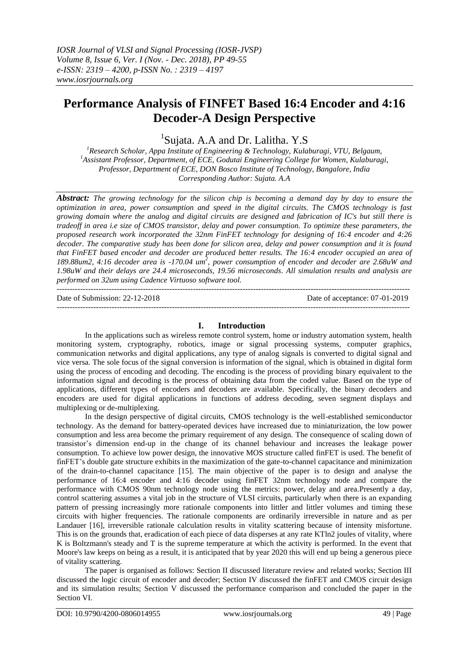# **Performance Analysis of FINFET Based 16:4 Encoder and 4:16 Decoder-A Design Perspective**

<sup>1</sup>Sujata. A.A and Dr. Lalitha. Y.S

*<sup>1</sup>Research Scholar, Appa Institute of Engineering & Technology, Kulaburagi, VTU, Belgaum, <sup>1</sup>Assistant Professor, Department, of ECE, Godutai Engineering College for Women, Kulaburagi, Professor, Department of ECE, DON Bosco Institute of Technology, Bangalore, India Corresponding Author: Sujata. A.A*

*Abstract: The growing technology for the silicon chip is becoming a demand day by day to ensure the optimization in area, power consumption and speed in the digital circuits. The CMOS technology is fast growing domain where the analog and digital circuits are designed and fabrication of IC's but still there is tradeoff in area i.e size of CMOS transistor, delay and power consumption. To optimize these parameters, the proposed research work incorporated the 32nm FinFET technology for designing of 16:4 encoder and 4:26 decoder. The comparative study has been done for silicon area, delay and power consumption and it is found that FinFET based encoder and decoder are produced better results. The 16:4 encoder occupied an area of 189.88um2, 4:16 decoder area is -170.04 um<sup>2</sup> , power consumption of encoder and decoder are 2.68uW and 1.98uW and their delays are 24.4 microseconds, 19.56 microseconds. All simulation results and analysis are performed on 32um using Cadence Virtuoso software tool.* ---------------------------------------------------------------------------------------------------------------------------------------

---------------------------------------------------------------------------------------------------------------------------------------

Date of Submission: 22-12-2018 Date of acceptance: 07-01-2019

## **I. Introduction**

In the applications such as wireless remote control system, home or industry automation system, health monitoring system, cryptography, robotics, image or signal processing systems, computer graphics, communication networks and digital applications, any type of analog signals is converted to digital signal and vice versa. The sole focus of the signal conversion is information of the signal, which is obtained in digital form using the process of encoding and decoding. The encoding is the process of providing binary equivalent to the information signal and decoding is the process of obtaining data from the coded value. Based on the type of applications, different types of encoders and decoders are available. Specifically, the binary decoders and encoders are used for digital applications in functions of address decoding, seven segment displays and multiplexing or de-multiplexing.

In the design perspective of digital circuits, CMOS technology is the well-established semiconductor technology. As the demand for battery-operated devices have increased due to miniaturization, the low power consumption and less area become the primary requirement of any design. The consequence of scaling down of transistor"s dimension end-up in the change of its channel behaviour and increases the leakage power consumption. To achieve low power design, the innovative MOS structure called finFET is used. The benefit of finFET"s double gate structure exhibits in the maximization of the gate-to-channel capacitance and minimization of the drain-to-channel capacitance [15]. The main objective of the paper is to design and analyse the performance of 16:4 encoder and 4:16 decoder using finFET 32nm technology node and compare the performance with CMOS 90nm technology node using the metrics: power, delay and area.Presently a day, control scattering assumes a vital job in the structure of VLSI circuits, particularly when there is an expanding pattern of pressing increasingly more rationale components into littler and littler volumes and timing these circuits with higher frequencies. The rationale components are ordinarily irreversible in nature and as per Landauer [16], irreversible rationale calculation results in vitality scattering because of intensity misfortune. This is on the grounds that, eradication of each piece of data disperses at any rate KTln2 joules of vitality, where K is Boltzmann's steady and T is the supreme temperature at which the activity is performed. In the event that Moore's law keeps on being as a result, it is anticipated that by year 2020 this will end up being a generous piece of vitality scattering.

The paper is organised as follows: Section II discussed literature review and related works; Section III discussed the logic circuit of encoder and decoder; Section IV discussed the finFET and CMOS circuit design and its simulation results; Section V discussed the performance comparison and concluded the paper in the Section VI.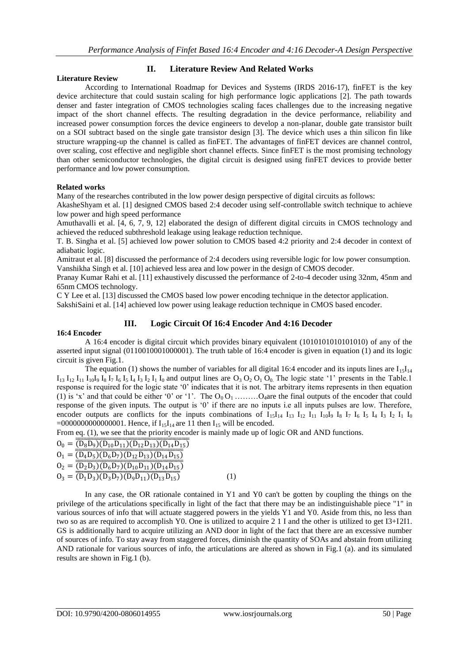## **II. Literature Review And Related Works**

#### **Literature Review**

According to International Roadmap for Devices and Systems (IRDS 2016-17), finFET is the key device architecture that could sustain scaling for high performance logic applications [2]. The path towards denser and faster integration of CMOS technologies scaling faces challenges due to the increasing negative impact of the short channel effects. The resulting degradation in the device performance, reliability and increased power consumption forces the device engineers to develop a non-planar, double gate transistor built on a SOI subtract based on the single gate transistor design [3]. The device which uses a thin silicon fin like structure wrapping-up the channel is called as finFET. The advantages of finFET devices are channel control, over scaling, cost effective and negligible short channel effects. Since finFET is the most promising technology than other semiconductor technologies, the digital circuit is designed using finFET devices to provide better performance and low power consumption.

## **Related works**

Many of the researches contributed in the low power design perspective of digital circuits as follows:

AkasheShyam et al. [1] designed CMOS based 2:4 decoder using self-controllable switch technique to achieve low power and high speed performance

Amuthavalli et al. [4, 6, 7, 9, 12] elaborated the design of different digital circuits in CMOS technology and achieved the reduced subthreshold leakage using leakage reduction technique.

T. B. Singha et al. [5] achieved low power solution to CMOS based 4:2 priority and 2:4 decoder in context of adiabatic logic.

Amitraut et al. [8] discussed the performance of 2:4 decoders using reversible logic for low power consumption. Vanshikha Singh et al. [10] achieved less area and low power in the design of CMOS decoder.

Pranay Kumar Rahi et al. [11] exhaustively discussed the performance of 2-to-4 decoder using 32nm, 45nm and 65nm CMOS technology.

C Y Lee et al. [13] discussed the CMOS based low power encoding technique in the detector application. SakshiSaini et al. [14] achieved low power using leakage reduction technique in CMOS based encoder.

## **III. Logic Circuit Of 16:4 Encoder And 4:16 Decoder**

## **16:4 Encoder**

A 16:4 encoder is digital circuit which provides binary equivalent (1010101010101010) of any of the asserted input signal (0110010001000001). The truth table of 16:4 encoder is given in equation (1) and its logic circuit is given Fig.1.

The equation (1) shows the number of variables for all digital 16:4 encoder and its inputs lines are  $I_1I_4$  $I_{13} I_{12} I_{11} I_{10} I_9 I_8 I_7 I_6 I_5 I_4 I_3 I_2 I_1 I_0$  and output lines are  $O_3 O_2 O_1 O_0$ . The logic state '1' presents in the Table.1 response is required for the logic state "0" indicates that it is not. The arbitrary items represents in then equation (1) is 'x' and that could be either '0' or '1'. The  $O_0 O_1$  ………O<sub>4</sub>are the final outputs of the encoder that could response of the given inputs. The output is "0" if there are no inputs i.e all inputs pulses are low. Therefore, encoder outputs are conflicts for the inputs combinations of  $I_{15}I_{14} I_{13} I_{12} I_{11} I_{10}I_9 I_8 I_7 I_6 I_5 I_4 I_3 I_2 I_1 I_0$  $=0000000000000001$ . Hence, if  $I_{15}I_{14}$  are 11 then  $I_{15}$  will be encoded.

From eq. (1), we see that the priority encoder is mainly made up of logic OR and AND functions.

 $O_0 = \overline{(\overline{D_8D_9)(D_{10}D_{11})(D_{12}D_{13})(D_{14}D_{15})}$  $0_1 = \overline{(\overline{D_4D_5})(\overline{D_6D_7})(\overline{D_{12}D_{13}})(\overline{D_{14}D_{15}})}$  $O_2 = \overline{(\overline{D_2D_3})(\overline{D_6D_7})(\overline{D_{10}D_{11}})(\overline{D_{14}D_{15}})}$  $0_3 = \overline{(\overline{D_1D_3})(\overline{D_3D_7})(\overline{D_9D_{11}})(\overline{D_{13}D_{15}})}$ (1)

In any case, the OR rationale contained in Y1 and Y0 can't be gotten by coupling the things on the privilege of the articulations specifically in light of the fact that there may be an indistinguishable piece "1" in various sources of info that will actuate staggered powers in the yields Y1 and Y0. Aside from this, no less than two so as are required to accomplish Y0. One is utilized to acquire 2 1 I and the other is utilized to get I3+I2I1. GS is additionally hard to acquire utilizing an AND door in light of the fact that there are an excessive number of sources of info. To stay away from staggered forces, diminish the quantity of SOAs and abstain from utilizing AND rationale for various sources of info, the articulations are altered as shown in Fig.1 (a). and its simulated results are shown in Fig.1 (b).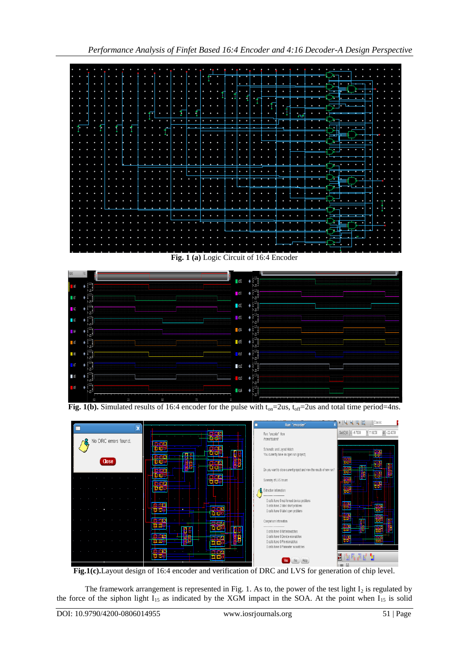



**Fig.1(c).**Layout design of 16:4 encoder and verification of DRC and LVS for generation of chip level.

The framework arrangement is represented in Fig. 1. As to, the power of the test light  $I_2$  is regulated by the force of the siphon light  $I_{15}$  as indicated by the XGM impact in the SOA. At the point when  $I_{15}$  is solid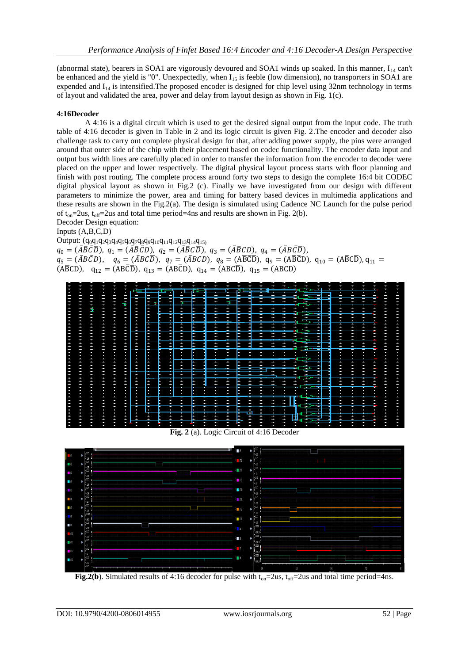(abnormal state), bearers in SOA1 are vigorously devoured and SOA1 winds up soaked. In this manner,  $I_{14}$  can't be enhanced and the yield is "0". Unexpectedly, when  $I_{15}$  is feeble (low dimension), no transporters in SOA1 are expended and  $I_{14}$  is intensified. The proposed encoder is designed for chip level using 32nm technology in terms of layout and validated the area, power and delay from layout design as shown in Fig. 1(c).

### **4:16Decoder**

A 4:16 is a digital circuit which is used to get the desired signal output from the input code. The truth table of 4:16 decoder is given in Table in 2 and its logic circuit is given Fig. 2.The encoder and decoder also challenge task to carry out complete physical design for that, after adding power supply, the pins were arranged around that outer side of the chip with their placement based on codec functionality. The encoder data input and output bus width lines are carefully placed in order to transfer the information from the encoder to decoder were placed on the upper and lower respectively. The digital physical layout process starts with floor planning and finish with post routing. The complete process around forty two steps to design the complete 16:4 bit CODEC digital physical layout as shown in Fig.2 (c). Finally we have investigated from our design with different parameters to minimize the power, area and timing for battery based devices in multimedia applications and these results are shown in the Fig.2(a). The design is simulated using Cadence NC Launch for the pulse period of  $t_{on}$ =2us,  $t_{off}$ =2us and total time period=4ns and results are shown in Fig. 2(b).

Decoder Design equation: Inputs (A,B,C,D)

 $\text{Output: } (\text{q}_0\text{q}_1\text{q}_2\text{q}_3\text{q}_4\text{q}_5\text{q}_6\text{q}_7\text{q}_8\text{q}_9\text{q}_{10}\text{q}_{11}\text{q}_{12}\text{q}_{13}\text{q}_{14}\text{q}_{15)}$ 

 $q_0 = (\bar{A}\bar{B}\bar{C}\bar{D}), q_1 = (\bar{A}\bar{B}\bar{C}D), q_2 = (\bar{A}\bar{B}C\bar{D}), q_3 = (\bar{A}\bar{B}CD), q_4 = (\bar{A}B\bar{C}\bar{D}),$  $q_5 = (\bar{A}B\bar{C}D), q_6 = (\bar{A}B\bar{C}\bar{D}), q_7 = (\bar{A}B\bar{C}D), q_8 = (A\bar{B}\bar{C}\bar{D}), q_9 = (A\bar{B}\bar{C}D), q_{10} = (A\bar{B}\bar{C}\bar{D}), q_{11} =$  $(A\overline{B}CD)$ ,  $q_{12} = (AB\overline{C}D)$ ,  $q_{13} = (AB\overline{C}D)$ ,  $q_{14} = (AB\overline{C}D)$ ,  $q_{15} = (ABCD)$ 



**Fig. 2** (a). Logic Circuit of 4:16 Decoder



**Fig.2(b)**. Simulated results of 4:16 decoder for pulse with  $t_{on}=2$ us,  $t_{off}=2$ us and total time period=4ns.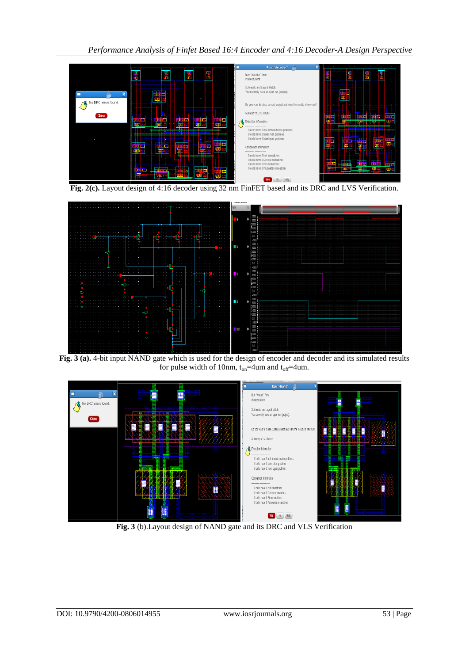*Performance Analysis of Finfet Based 16:4 Encoder and 4:16 Decoder-A Design Perspective*



**Fig. 2(c).** Layout design of 4:16 decoder using 32 nm FinFET based and its DRC and LVS Verification.



**Fig. 3 (a).** 4-bit input NAND gate which is used for the design of encoder and decoder and its simulated results for pulse width of 10nm,  $t_{on} = 4$ um and  $t_{off} = 4$ um.



**Fig. 3** (b).Layout design of NAND gate and its DRC and VLS Verification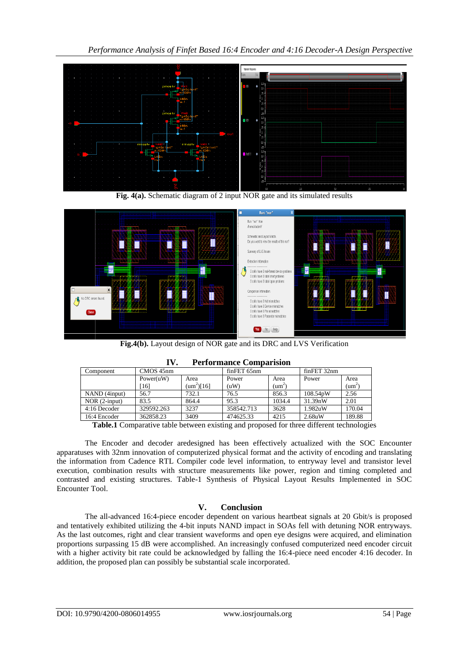

**Fig. 4(a).** Schematic diagram of 2 input NOR gate and its simulated results



**Fig.4(b).** Layout design of NOR gate and its DRC and LVS Verification

| 11.<br>Periormance Comparision |            |                    |             |                 |             |                 |
|--------------------------------|------------|--------------------|-------------|-----------------|-------------|-----------------|
| Component                      | CMOS 45nm  |                    | finFET 65nm |                 | finFET 32nm |                 |
|                                | Power(uW)  | Area               | Power       | Area            | Power       | Area            |
|                                | [16]       | ${\rm (um^2)}[16]$ | (uW)        | $\text{(um}^2)$ |             | $\text{(um}^2)$ |
| NAND (4 <i>input</i> )         | 56.7       | 732.1              | 76.5        | 856.3           | 108.54pW    | 2.56            |
| $NOR$ (2-input)                | 83.5       | 864.4              | 95.3        | 1034.4          | 31.39nW     | 2.01            |
| 4:16 Decoder                   | 329592.263 | 3237               | 358542.713  | 3628            | 1.982uW     | 170.04          |
| 16:4 Encoder                   | 362858.23  | 3409               | 474625.33   | 4215            | $2.68$ uW   | 189.88          |

**IV. Performance Comparision**

**Table.1** Comparative table between existing and proposed for three different technologies

The Encoder and decoder aredesigned has been effectively actualized with the SOC Encounter apparatuses with 32nm innovation of computerized physical format and the activity of encoding and translating the information from Cadence RTL Compiler code level information, to entryway level and transistor level execution, combination results with structure measurements like power, region and timing completed and contrasted and existing structures. Table-1 Synthesis of Physical Layout Results Implemented in SOC Encounter Tool.

## **V. Conclusion**

The all-advanced 16:4-piece encoder dependent on various heartbeat signals at 20 Gbit/s is proposed and tentatively exhibited utilizing the 4-bit inputs NAND impact in SOAs fell with detuning NOR entryways. As the last outcomes, right and clear transient waveforms and open eye designs were acquired, and elimination proportions surpassing 15 dB were accomplished. An increasingly confused computerized need encoder circuit with a higher activity bit rate could be acknowledged by falling the 16:4-piece need encoder 4:16 decoder. In addition, the proposed plan can possibly be substantial scale incorporated.